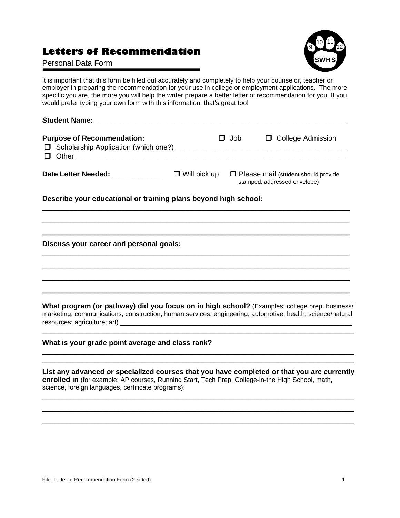## **Letters of Recommendation**

## Personal Data Form



It is important that this form be filled out accurately and completely to help your counselor, teacher or employer in preparing the recommendation for your use in college or employment applications. The more specific you are, the more you will help the writer prepare a better letter of recommendation for you. If you would prefer typing your own form with this information, that's great too!

| Student Name: Name: Name Student Name Student Name Student Name Student Name Student Name Student Name Student |                     |     |                                                                            |
|----------------------------------------------------------------------------------------------------------------|---------------------|-----|----------------------------------------------------------------------------|
| <b>Purpose of Recommendation:</b><br>Scholarship Application (which one?) ______                               | $\Box$              | Job | □ College Admission                                                        |
| Date Letter Needed: ____________                                                                               | $\Box$ Will pick up |     | $\Box$ Please mail (student should provide<br>stamped, addressed envelope) |
| Describe your educational or training plans beyond high school:                                                |                     |     |                                                                            |

\_\_\_\_\_\_\_\_\_\_\_\_\_\_\_\_\_\_\_\_\_\_\_\_\_\_\_\_\_\_\_\_\_\_\_\_\_\_\_\_\_\_\_\_\_\_\_\_\_\_\_\_\_\_\_\_\_\_\_\_\_\_\_\_\_\_\_\_\_\_\_\_\_\_\_\_\_ \_\_\_\_\_\_\_\_\_\_\_\_\_\_\_\_\_\_\_\_\_\_\_\_\_\_\_\_\_\_\_\_\_\_\_\_\_\_\_\_\_\_\_\_\_\_\_\_\_\_\_\_\_\_\_\_\_\_\_\_\_\_\_\_\_\_\_\_\_\_\_\_\_\_\_\_\_ \_\_\_\_\_\_\_\_\_\_\_\_\_\_\_\_\_\_\_\_\_\_\_\_\_\_\_\_\_\_\_\_\_\_\_\_\_\_\_\_\_\_\_\_\_\_\_\_\_\_\_\_\_\_\_\_\_\_\_\_\_\_\_\_\_\_\_\_\_\_\_\_\_\_\_\_\_

\_\_\_\_\_\_\_\_\_\_\_\_\_\_\_\_\_\_\_\_\_\_\_\_\_\_\_\_\_\_\_\_\_\_\_\_\_\_\_\_\_\_\_\_\_\_\_\_\_\_\_\_\_\_\_\_\_\_\_\_\_\_\_\_\_\_\_\_\_\_\_\_\_\_\_\_\_ \_\_\_\_\_\_\_\_\_\_\_\_\_\_\_\_\_\_\_\_\_\_\_\_\_\_\_\_\_\_\_\_\_\_\_\_\_\_\_\_\_\_\_\_\_\_\_\_\_\_\_\_\_\_\_\_\_\_\_\_\_\_\_\_\_\_\_\_\_\_\_\_\_\_\_\_\_ \_\_\_\_\_\_\_\_\_\_\_\_\_\_\_\_\_\_\_\_\_\_\_\_\_\_\_\_\_\_\_\_\_\_\_\_\_\_\_\_\_\_\_\_\_\_\_\_\_\_\_\_\_\_\_\_\_\_\_\_\_\_\_\_\_\_\_\_\_\_\_\_\_\_\_\_\_ \_\_\_\_\_\_\_\_\_\_\_\_\_\_\_\_\_\_\_\_\_\_\_\_\_\_\_\_\_\_\_\_\_\_\_\_\_\_\_\_\_\_\_\_\_\_\_\_\_\_\_\_\_\_\_\_\_\_\_\_\_\_\_\_\_\_\_\_\_\_\_\_\_\_\_\_\_

**Discuss your career and personal goals:** 

**What program (or pathway) did you focus on in high school?** (Examples: college prep; business/ marketing; communications; construction; human services; engineering; automotive; health; science/natural resources; agriculture; art) \_\_\_\_\_\_\_\_\_\_\_\_\_\_\_\_\_\_\_\_\_\_\_\_\_\_\_\_\_\_\_\_\_\_\_\_\_\_\_\_\_\_\_\_\_\_\_\_\_\_\_\_\_\_\_\_\_\_

\_\_\_\_\_\_\_\_\_\_\_\_\_\_\_\_\_\_\_\_\_\_\_\_\_\_\_\_\_\_\_\_\_\_\_\_\_\_\_\_\_\_\_\_\_\_\_\_\_\_\_\_\_\_\_\_\_\_\_\_\_\_\_\_\_\_\_\_\_\_\_\_\_\_\_\_\_\_

\_\_\_\_\_\_\_\_\_\_\_\_\_\_\_\_\_\_\_\_\_\_\_\_\_\_\_\_\_\_\_\_\_\_\_\_\_\_\_\_\_\_\_\_\_\_\_\_\_\_\_\_\_\_\_\_\_\_\_\_\_\_\_\_\_\_\_\_\_\_\_\_\_\_\_\_\_\_ \_\_\_\_\_\_\_\_\_\_\_\_\_\_\_\_\_\_\_\_\_\_\_\_\_\_\_\_\_\_\_\_\_\_\_\_\_\_\_\_\_\_\_\_\_\_\_\_\_\_\_\_\_\_\_\_\_\_\_\_\_\_\_\_\_\_\_\_\_\_\_\_\_\_\_\_\_\_

## **What is your grade point average and class rank?**

**List any advanced or specialized courses that you have completed or that you are currently enrolled in** (for example: AP courses, Running Start, Tech Prep, College-in-the High School, math, science, foreign languages, certificate programs):

\_\_\_\_\_\_\_\_\_\_\_\_\_\_\_\_\_\_\_\_\_\_\_\_\_\_\_\_\_\_\_\_\_\_\_\_\_\_\_\_\_\_\_\_\_\_\_\_\_\_\_\_\_\_\_\_\_\_\_\_\_\_\_\_\_\_\_\_\_\_\_\_\_\_\_\_\_\_ \_\_\_\_\_\_\_\_\_\_\_\_\_\_\_\_\_\_\_\_\_\_\_\_\_\_\_\_\_\_\_\_\_\_\_\_\_\_\_\_\_\_\_\_\_\_\_\_\_\_\_\_\_\_\_\_\_\_\_\_\_\_\_\_\_\_\_\_\_\_\_\_\_\_\_\_\_\_ \_\_\_\_\_\_\_\_\_\_\_\_\_\_\_\_\_\_\_\_\_\_\_\_\_\_\_\_\_\_\_\_\_\_\_\_\_\_\_\_\_\_\_\_\_\_\_\_\_\_\_\_\_\_\_\_\_\_\_\_\_\_\_\_\_\_\_\_\_\_\_\_\_\_\_\_\_\_